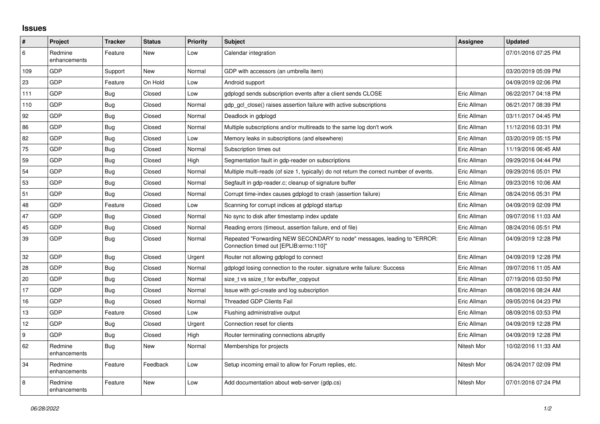## **Issues**

| #               | Project                 | <b>Tracker</b> | Status   | <b>Priority</b> | <b>Subject</b>                                                                                                      | <b>Assignee</b> | <b>Updated</b>      |
|-----------------|-------------------------|----------------|----------|-----------------|---------------------------------------------------------------------------------------------------------------------|-----------------|---------------------|
| 6               | Redmine<br>enhancements | Feature        | New      | Low             | Calendar integration                                                                                                |                 | 07/01/2016 07:25 PM |
| 109             | GDP                     | Support        | New      | Normal          | GDP with accessors (an umbrella item)                                                                               |                 | 03/20/2019 05:09 PM |
| 23              | GDP                     | Feature        | On Hold  | Low             | Android support                                                                                                     |                 | 04/09/2019 02:06 PM |
| 111             | GDP                     | Bug            | Closed   | Low             | gdplogd sends subscription events after a client sends CLOSE                                                        | Eric Allman     | 06/22/2017 04:18 PM |
| 110             | GDP                     | Bug            | Closed   | Normal          | adp acl close() raises assertion failure with active subscriptions                                                  | Eric Allman     | 06/21/2017 08:39 PM |
| 92              | GDP                     | Bug            | Closed   | Normal          | Deadlock in gdplogd                                                                                                 | Eric Allman     | 03/11/2017 04:45 PM |
| 86              | GDP                     | Bug            | Closed   | Normal          | Multiple subscriptions and/or multireads to the same log don't work                                                 | Eric Allman     | 11/12/2016 03:31 PM |
| 82              | GDP                     | Bug            | Closed   | Low             | Memory leaks in subscriptions (and elsewhere)                                                                       | Eric Allman     | 03/20/2019 05:15 PM |
| 75              | GDP                     | Bug            | Closed   | Normal          | Subscription times out                                                                                              | Eric Allman     | 11/19/2016 06:45 AM |
| 59              | GDP                     | Bug            | Closed   | High            | Segmentation fault in gdp-reader on subscriptions                                                                   | Eric Allman     | 09/29/2016 04:44 PM |
| 54              | GDP                     | Bug            | Closed   | Normal          | Multiple multi-reads (of size 1, typically) do not return the correct number of events.                             | Eric Allman     | 09/29/2016 05:01 PM |
| 53              | GDP                     | Bug            | Closed   | Normal          | Segfault in gdp-reader.c; cleanup of signature buffer                                                               | Eric Allman     | 09/23/2016 10:06 AM |
| 51              | GDP                     | Bug            | Closed   | Normal          | Corrupt time-index causes gdplogd to crash (assertion failure)                                                      | Eric Allman     | 08/24/2016 05:31 PM |
| 48              | GDP                     | Feature        | Closed   | Low             | Scanning for corrupt indices at gdplogd startup                                                                     | Eric Allman     | 04/09/2019 02:09 PM |
| 47              | GDP                     | Bug            | Closed   | Normal          | No sync to disk after timestamp index update                                                                        | Eric Allman     | 09/07/2016 11:03 AM |
| 45              | GDP                     | Bug            | Closed   | Normal          | Reading errors (timeout, assertion failure, end of file)                                                            | Eric Allman     | 08/24/2016 05:51 PM |
| 39              | GDP                     | Bug            | Closed   | Normal          | Repeated "Forwarding NEW SECONDARY to node" messages, leading to "ERROR:<br>Connection timed out [EPLIB:errno:110]" | Eric Allman     | 04/09/2019 12:28 PM |
| 32              | GDP                     | Bug            | Closed   | Urgent          | Router not allowing gdplogd to connect                                                                              | Eric Allman     | 04/09/2019 12:28 PM |
| 28              | GDP                     | Bug            | Closed   | Normal          | gdplogd losing connection to the router, signature write failure: Success                                           | Eric Allman     | 09/07/2016 11:05 AM |
| 20              | GDP                     | Bug            | Closed   | Normal          | size_t vs ssize_t for evbuffer_copyout                                                                              | Eric Allman     | 07/19/2016 03:50 PM |
| 17              | GDP                     | Bug            | Closed   | Normal          | Issue with gcl-create and log subscription                                                                          | Eric Allman     | 08/08/2016 08:24 AM |
| 16              | GDP                     | Bug            | Closed   | Normal          | <b>Threaded GDP Clients Fail</b>                                                                                    | Eric Allman     | 09/05/2016 04:23 PM |
| 13              | GDP                     | Feature        | Closed   | Low             | Flushing administrative output                                                                                      | Eric Allman     | 08/09/2016 03:53 PM |
| 12 <sup>2</sup> | GDP                     | Bug            | Closed   | Urgent          | Connection reset for clients                                                                                        | Eric Allman     | 04/09/2019 12:28 PM |
| 9               | GDP                     | <b>Bug</b>     | Closed   | High            | Router terminating connections abruptly                                                                             | Eric Allman     | 04/09/2019 12:28 PM |
| 62              | Redmine<br>enhancements | <b>Bug</b>     | New      | Normal          | Memberships for projects                                                                                            | Nitesh Mor      | 10/02/2016 11:33 AM |
| 34              | Redmine<br>enhancements | Feature        | Feedback | Low             | Setup incoming email to allow for Forum replies, etc.                                                               | Nitesh Mor      | 06/24/2017 02:09 PM |
| 8               | Redmine<br>enhancements | Feature        | New      | Low             | Add documentation about web-server (gdp.cs)                                                                         | Nitesh Mor      | 07/01/2016 07:24 PM |